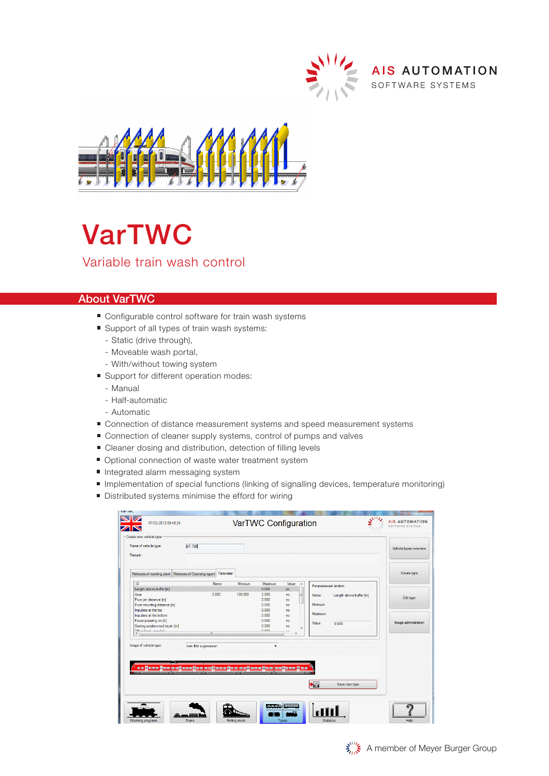



## VarTWC Variable train wash control

## About VarTWC

- Configurable control software for train wash systems
- Support of all types of train wash systems:
	- Static (drive through),
	- Moveable wash portal,
	- With/without towing system
- Support for different operation modes:
	- Manual
	- Half-automatic
	- Automatic
- Connection of distance measurement systems and speed measurement systems
- Connection of cleaner supply systems, control of pumps and valves
- Cleaner dosing and distribution, detection of filling levels
- Optional connection of waste water treatment system
- Integrated alarm messaging system
- Implementation of special functions (linking of signalling devices, temperature monitoring)
- Distributed systems minimise the efford for wiring

| Name of vehicle type:<br>Remark:                                                                                                                                   | <b>BR 795</b>                                                                                     |         |                                                             |                                        |                                                                    |
|--------------------------------------------------------------------------------------------------------------------------------------------------------------------|---------------------------------------------------------------------------------------------------|---------|-------------------------------------------------------------|----------------------------------------|--------------------------------------------------------------------|
| Releases of washing plant   Releases of Cleansing agent   Parameter                                                                                                |                                                                                                   |         |                                                             |                                        |                                                                    |
| ID                                                                                                                                                                 | Name                                                                                              | Minimum | Maximum                                                     | Value                                  | Parameterwert ändem                                                |
| Length above buffer [m]<br>Axes<br>Pivot pin distance [m]<br>Pivot mounting distance [m]<br>Impulses at the top<br>Impulses at the bottom<br>Power pressing on [A] | 2.000                                                                                             | 100,000 | 0.000<br>2.000<br>0.000<br>0.000<br>0.000<br>0.000<br>0.000 | no<br>no<br>no<br>no<br>no<br>no<br>no | Length above buffer [m]<br>Name:<br>Minimum:<br>Maximum:<br>Value: |
| Starting position roof brush [m]<br>Officer Local Concerted<br>$\epsilon$                                                                                          | m                                                                                                 |         | 0.000<br>n nnn                                              | no                                     | 0.000                                                              |
| Image of vehicle type:                                                                                                                                             | kein Bild zugewiesen<br><u>u o Mono Hoo a oli sanije o voli sanije u vodinac Hoo (seljana Hoo</u> |         |                                                             |                                        | 帽<br>Save new type                                                 |